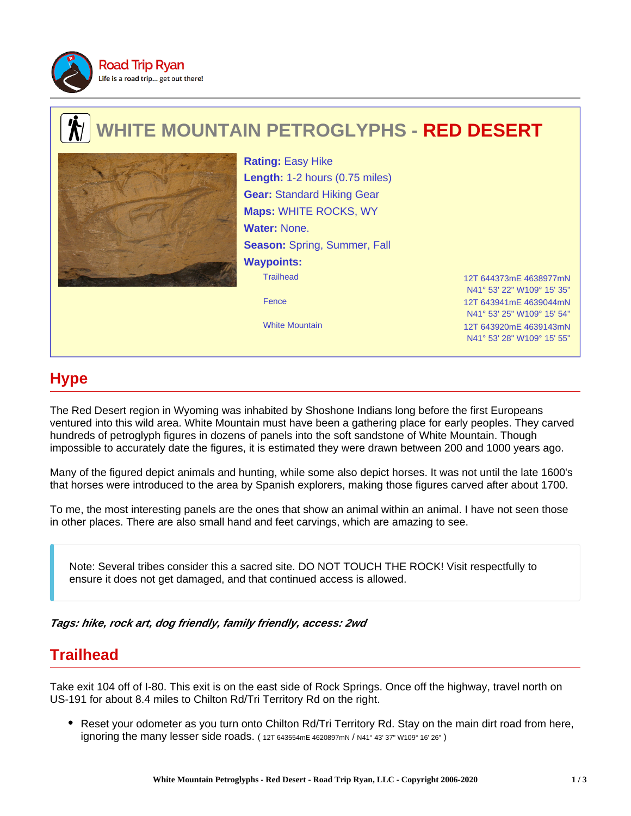

# **WHITE MOUNTAIN PETROGLYPHS - RED DESERT**



Trailhead 12T 644373mE 4638977mN Fence 12T 643941mE 4639044mN **Rating:** Easy Hike **Length:** 1-2 hours (0.75 miles) **Gear:** Standard Hiking Gear **Maps:** WHITE ROCKS, WY **Water:** None. **Season:** Spring, Summer, Fall **Waypoints:**

N41° 53' 22" W109° 15' 35" N41° 53' 25" W109° 15' 54" White Mountain 12T 643920mE 4639143mN N41° 53' 28" W109° 15' 55"

## **Hype**

The Red Desert region in Wyoming was inhabited by Shoshone Indians long before the first Europeans ventured into this wild area. White Mountain must have been a gathering place for early peoples. They carved hundreds of petroglyph figures in dozens of panels into the soft sandstone of White Mountain. Though impossible to accurately date the figures, it is estimated they were drawn between 200 and 1000 years ago.

Many of the figured depict animals and hunting, while some also depict horses. It was not until the late 1600's that horses were introduced to the area by Spanish explorers, making those figures carved after about 1700.

To me, the most interesting panels are the ones that show an animal within an animal. I have not seen those in other places. There are also small hand and feet carvings, which are amazing to see.

Note: Several tribes consider this a sacred site. DO NOT TOUCH THE ROCK! Visit respectfully to ensure it does not get damaged, and that continued access is allowed.

**Tags: hike, rock art, dog friendly, family friendly, access: 2wd**

### **Trailhead**

Take exit 104 off of I-80. This exit is on the east side of Rock Springs. Once off the highway, travel north on US-191 for about 8.4 miles to Chilton Rd/Tri Territory Rd on the right.

• Reset your odometer as you turn onto Chilton Rd/Tri Territory Rd. Stay on the main dirt road from here, ignoring the many lesser side roads. ( 12T 643554mE 4620897mN / N41° 43' 37" W109° 16' 26" )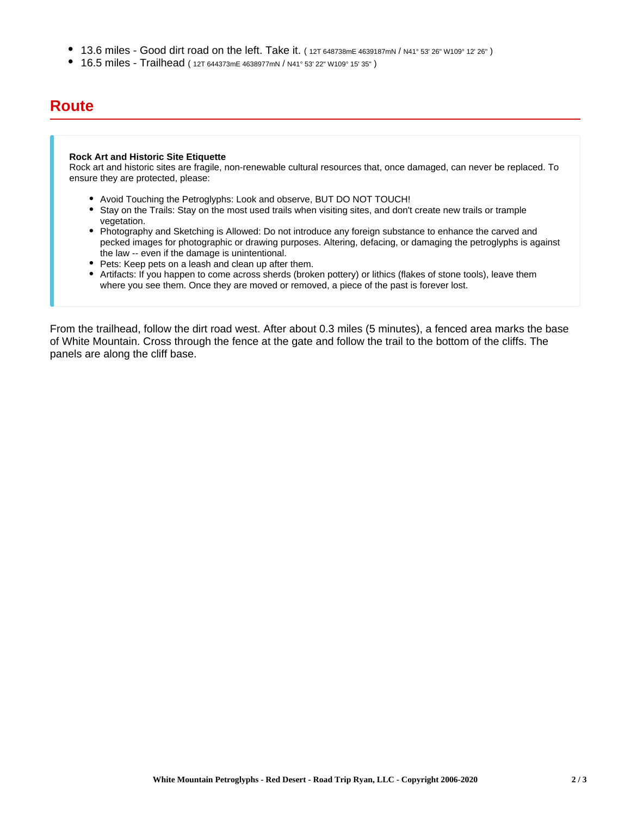- 13.6 miles Good dirt road on the left. Take it. ( 12T 648738mE 4639187mN / N41° 53' 26" W109° 12' 26" )
- 16.5 miles Trailhead ( 12T 644373mE 4638977mN / N41° 53' 22" W109° 15' 35" )

#### **Route**

#### **Rock Art and Historic Site Etiquette**

Rock art and historic sites are fragile, non-renewable cultural resources that, once damaged, can never be replaced. To ensure they are protected, please:

- Avoid Touching the Petroglyphs: Look and observe, BUT DO NOT TOUCH!
- Stay on the Trails: Stay on the most used trails when visiting sites, and don't create new trails or trample vegetation.
- Photography and Sketching is Allowed: Do not introduce any foreign substance to enhance the carved and pecked images for photographic or drawing purposes. Altering, defacing, or damaging the petroglyphs is against the law -- even if the damage is unintentional.
- Pets: Keep pets on a leash and clean up after them.
- Artifacts: If you happen to come across sherds (broken pottery) or lithics (flakes of stone tools), leave them where you see them. Once they are moved or removed, a piece of the past is forever lost.

From the trailhead, follow the dirt road west. After about 0.3 miles (5 minutes), a fenced area marks the base of White Mountain. Cross through the fence at the gate and follow the trail to the bottom of the cliffs. The panels are along the cliff base.